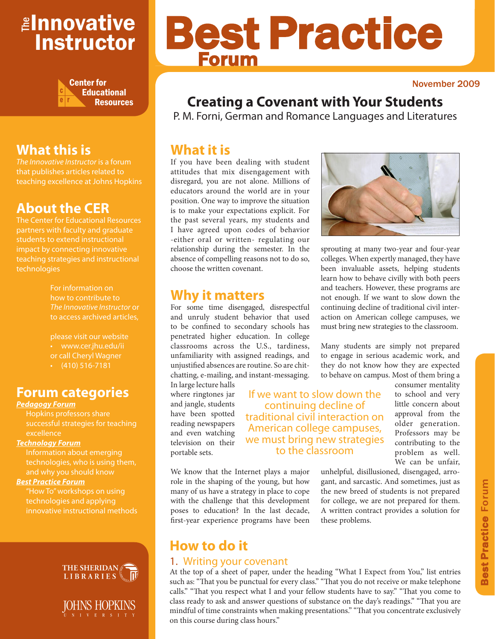## ≇l<mark>nnovative</mark> Instructor



## **What this is**

*The Innovative Instructor* is a forum that publishes articles related to teaching excellence at Johns Hopkins

## **About the CER**

The Center for Educational Resources partners with faculty and graduate teaching strategies and instructional technologies

> For information on how to contribute to *The Innovative Instructor* or to access archived articles,

please visit our website or call Cheryl Wagner  $\cdot$  (410) 516-7181

#### **Forum categories**

#### *Pedagogy Forum*

successful strategies for teaching excellence

#### *Technology Forum*

technologies, who is using them, and why you should know

#### *Best Practice Forum*

technologies and applying innovative instructional methods





# Best Practice Forum

#### November 2009

## **Creating a Covenant with Your Students**

P. M. Forni, German and Romance Languages and Literatures

## **What it is**

If you have been dealing with student attitudes that mix disengagement with disregard, you are not alone. Millions of educators around the world are in your position. One way to improve the situation is to make your expectations explicit. For the past several years, my students and I have agreed upon codes of behavior -either oral or written- regulating our relationship during the semester. In the absence of compelling reasons not to do so, choose the written covenant.

#### **Why it matters**

For some time disengaged, disrespectful and unruly student behavior that used to be confined to secondary schools has penetrated higher education. In college classrooms across the U.S., tardiness, unfamiliarity with assigned readings, and unjustified absences are routine. So are chitchatting, e-mailing, and instant-messaging.

In large lecture halls where ringtones jar and jangle, students have been spotted reading newspapers and even watching television on their portable sets.

If we want to slow down the continuing decline of traditional civil interaction on American college campuses, we must bring new strategies to the classroom

We know that the Internet plays a major role in the shaping of the young, but how many of us have a strategy in place to cope with the challenge that this development poses to education? In the last decade, first-year experience programs have been

## **How to do it**

#### 1. Writing your covenant

At the top of a sheet of paper, under the heading "What I Expect from You," list entries such as: "That you be punctual for every class." "That you do not receive or make telephone calls." "That you respect what I and your fellow students have to say." "That you come to class ready to ask and answer questions of substance on the day's readings." "That you are mindful of time constraints when making presentations." "That you concentrate exclusively on this course during class hours."



sprouting at many two-year and four-year colleges. When expertly managed, they have been invaluable assets, helping students learn how to behave civilly with both peers and teachers. However, these programs are not enough. If we want to slow down the continuing decline of traditional civil interaction on American college campuses, we must bring new strategies to the classroom.

Many students are simply not prepared to engage in serious academic work, and they do not know how they are expected to behave on campus. Most of them bring a

> consumer mentality to school and very little concern about approval from the older generation. Professors may be contributing to the problem as well. We can be unfair,

unhelpful, disillusioned, disengaged, arrogant, and sarcastic. And sometimes, just as the new breed of students is not prepared for college, we are not prepared for them. A written contract provides a solution for these problems.